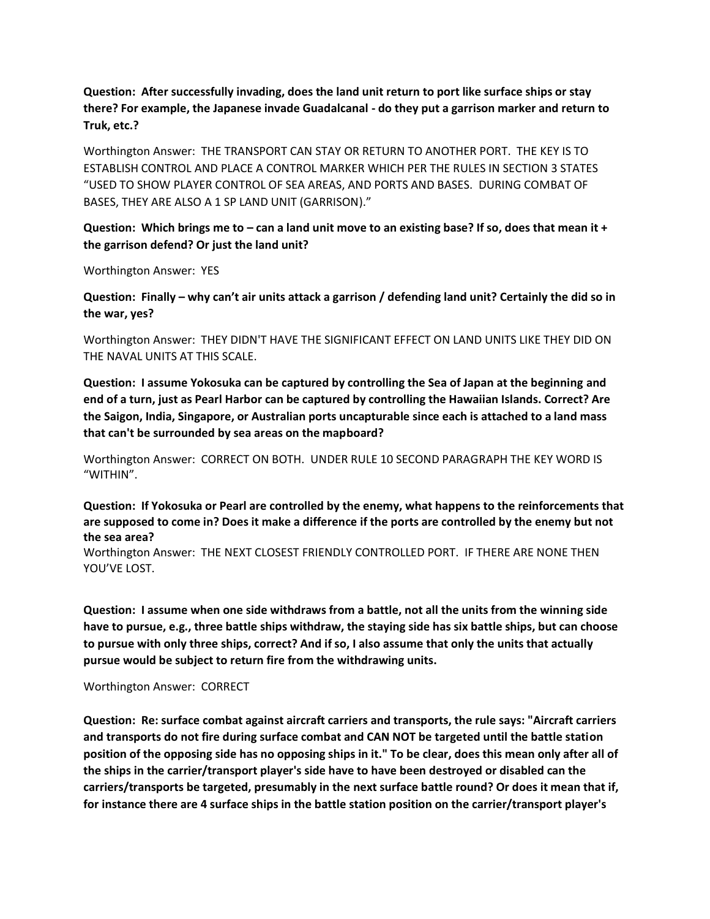**Question: After successfully invading, does the land unit return to port like surface ships or stay there? For example, the Japanese invade Guadalcanal - do they put a garrison marker and return to Truk, etc.?**

Worthington Answer: THE TRANSPORT CAN STAY OR RETURN TO ANOTHER PORT. THE KEY IS TO ESTABLISH CONTROL AND PLACE A CONTROL MARKER WHICH PER THE RULES IN SECTION 3 STATES "USED TO SHOW PLAYER CONTROL OF SEA AREAS, AND PORTS AND BASES. DURING COMBAT OF BASES, THEY ARE ALSO A 1 SP LAND UNIT (GARRISON)."

### **Question: Which brings me to – can a land unit move to an existing base? If so, does that mean it + the garrison defend? Or just the land unit?**

Worthington Answer: YES

**Question: Finally – why can't air units attack a garrison / defending land unit? Certainly the did so in the war, yes?** 

Worthington Answer: THEY DIDN'T HAVE THE SIGNIFICANT EFFECT ON LAND UNITS LIKE THEY DID ON THE NAVAL UNITS AT THIS SCALE.

**Question: I assume Yokosuka can be captured by controlling the Sea of Japan at the beginning and end of a turn, just as Pearl Harbor can be captured by controlling the Hawaiian Islands. Correct? Are the Saigon, India, Singapore, or Australian ports uncapturable since each is attached to a land mass that can't be surrounded by sea areas on the mapboard?**

Worthington Answer: CORRECT ON BOTH. UNDER RULE 10 SECOND PARAGRAPH THE KEY WORD IS "WITHIN".

**Question: If Yokosuka or Pearl are controlled by the enemy, what happens to the reinforcements that are supposed to come in? Does it make a difference if the ports are controlled by the enemy but not the sea area?**

Worthington Answer: THE NEXT CLOSEST FRIENDLY CONTROLLED PORT. IF THERE ARE NONE THEN YOU'VE LOST.

**Question: I assume when one side withdraws from a battle, not all the units from the winning side have to pursue, e.g., three battle ships withdraw, the staying side has six battle ships, but can choose to pursue with only three ships, correct? And if so, I also assume that only the units that actually pursue would be subject to return fire from the withdrawing units.**

Worthington Answer: CORRECT

**Question: Re: surface combat against aircraft carriers and transports, the rule says: "Aircraft carriers and transports do not fire during surface combat and CAN NOT be targeted until the battle station position of the opposing side has no opposing ships in it." To be clear, does this mean only after all of the ships in the carrier/transport player's side have to have been destroyed or disabled can the carriers/transports be targeted, presumably in the next surface battle round? Or does it mean that if, for instance there are 4 surface ships in the battle station position on the carrier/transport player's**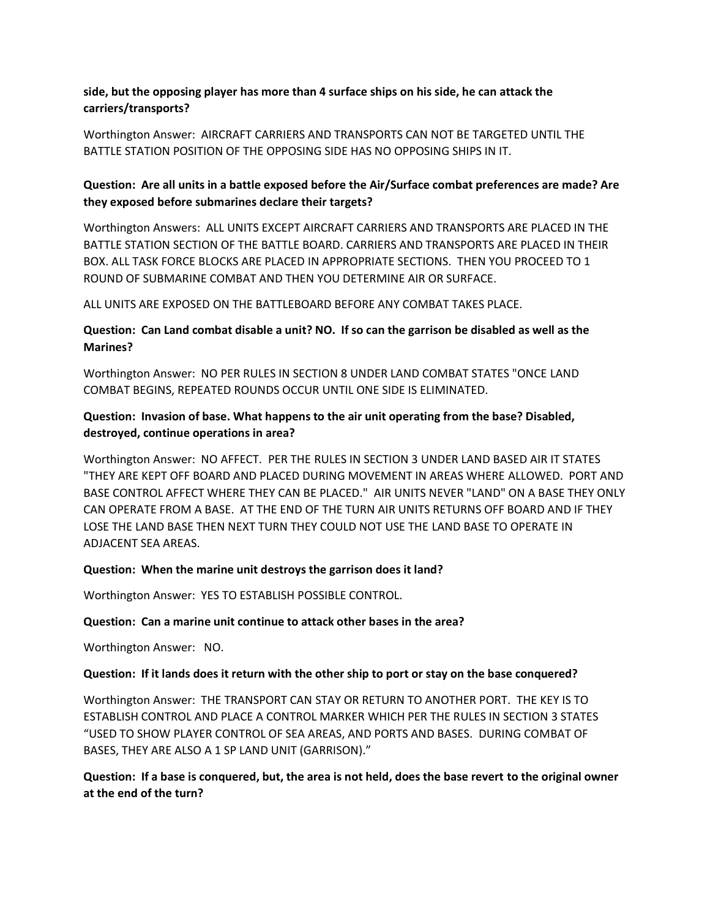## **side, but the opposing player has more than 4 surface ships on his side, he can attack the carriers/transports?**

Worthington Answer: AIRCRAFT CARRIERS AND TRANSPORTS CAN NOT BE TARGETED UNTIL THE BATTLE STATION POSITION OF THE OPPOSING SIDE HAS NO OPPOSING SHIPS IN IT.

## **Question: Are all units in a battle exposed before the Air/Surface combat preferences are made? Are they exposed before submarines declare their targets?**

Worthington Answers: ALL UNITS EXCEPT AIRCRAFT CARRIERS AND TRANSPORTS ARE PLACED IN THE BATTLE STATION SECTION OF THE BATTLE BOARD. CARRIERS AND TRANSPORTS ARE PLACED IN THEIR BOX. ALL TASK FORCE BLOCKS ARE PLACED IN APPROPRIATE SECTIONS. THEN YOU PROCEED TO 1 ROUND OF SUBMARINE COMBAT AND THEN YOU DETERMINE AIR OR SURFACE.

ALL UNITS ARE EXPOSED ON THE BATTLEBOARD BEFORE ANY COMBAT TAKES PLACE.

## **Question: Can Land combat disable a unit? NO. If so can the garrison be disabled as well as the Marines?**

Worthington Answer: NO PER RULES IN SECTION 8 UNDER LAND COMBAT STATES "ONCE LAND COMBAT BEGINS, REPEATED ROUNDS OCCUR UNTIL ONE SIDE IS ELIMINATED.

# **Question: Invasion of base. What happens to the air unit operating from the base? Disabled, destroyed, continue operations in area?**

Worthington Answer: NO AFFECT. PER THE RULES IN SECTION 3 UNDER LAND BASED AIR IT STATES "THEY ARE KEPT OFF BOARD AND PLACED DURING MOVEMENT IN AREAS WHERE ALLOWED. PORT AND BASE CONTROL AFFECT WHERE THEY CAN BE PLACED." AIR UNITS NEVER "LAND" ON A BASE THEY ONLY CAN OPERATE FROM A BASE. AT THE END OF THE TURN AIR UNITS RETURNS OFF BOARD AND IF THEY LOSE THE LAND BASE THEN NEXT TURN THEY COULD NOT USE THE LAND BASE TO OPERATE IN ADJACENT SEA AREAS.

### **Question: When the marine unit destroys the garrison does it land?**

Worthington Answer: YES TO ESTABLISH POSSIBLE CONTROL.

### **Question: Can a marine unit continue to attack other bases in the area?**

Worthington Answer: NO.

### **Question: If it lands does it return with the other ship to port or stay on the base conquered?**

Worthington Answer: THE TRANSPORT CAN STAY OR RETURN TO ANOTHER PORT. THE KEY IS TO ESTABLISH CONTROL AND PLACE A CONTROL MARKER WHICH PER THE RULES IN SECTION 3 STATES "USED TO SHOW PLAYER CONTROL OF SEA AREAS, AND PORTS AND BASES. DURING COMBAT OF BASES, THEY ARE ALSO A 1 SP LAND UNIT (GARRISON)."

## **Question: If a base is conquered, but, the area is not held, does the base revert to the original owner at the end of the turn?**